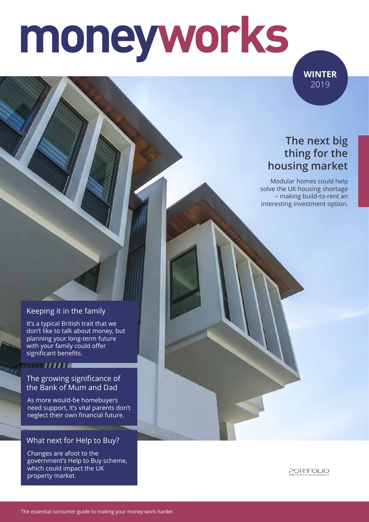# moneyworks

**WINTER** 2019

### **The next big thing for the housing market**

Modular homes could help solve the UK housing shortage – making build-to-rent an interesting investment option.

#### Keeping it in the family

It's a typical British trait that we don't like to talk about money, but planning your long-term future with your family could offer significant benefits.

#### 

#### The growing significance of the Bank of Mum and Dad

As more would-be homebuyers need support, it's vital parents don't neglect their own financial future.

#### What next for Help to Buy?

Changes are afoot to the government's Help to Buy scheme, which could impact the UK property market.

PORTFOLIO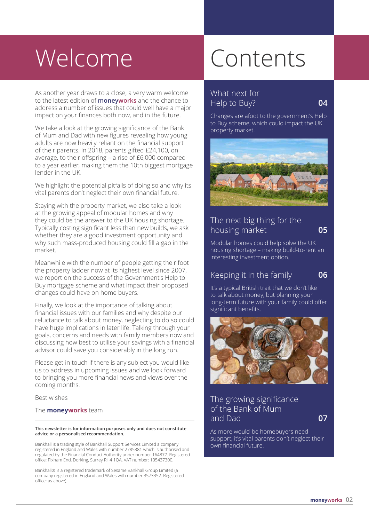# Welcome Contents

As another year draws to a close, a very warm welcome to the latest edition of **moneyworks** and the chance to address a number of issues that could well have a major impact on your finances both now, and in the future.

We take a look at the growing significance of the Bank of Mum and Dad with new figures revealing how young adults are now heavily reliant on the financial support of their parents. In 2018, parents gifted £24,100, on average, to their offspring – a rise of £6,000 compared to a year earlier, making them the 10th biggest mortgage lender in the UK.

We highlight the potential pitfalls of doing so and why its vital parents don't neglect their own financial future.

Staying with the property market, we also take a look at the growing appeal of modular homes and why they could be the answer to the UK housing shortage. Typically costing significant less than new builds, we ask whether they are a good investment opportunity and why such mass-produced housing could fill a gap in the market.

Meanwhile with the number of people getting their foot the property ladder now at its highest level since 2007, we report on the success of the Government's Help to Buy mortgage scheme and what impact their proposed changes could have on home buyers.

Finally, we look at the importance of talking about financial issues with our families and why despite our reluctance to talk about money, neglecting to do so could have huge implications in later life. Talking through your goals, concerns and needs with family members now and discussing how best to utilise your savings with a financial advisor could save you considerably in the long run.

Please get in touch if there is any subject you would like us to address in upcoming issues and we look forward to bringing you more financial news and views over the coming months.

Best wishes

#### The **moneyworks** team

#### **This newsletter is for information purposes only and does not constitute advice or a personalised recommendation.**

Bankhall is a trading style of Bankhall Support Services Limited a company registered in England and Wales with number 2785381 which is authorised and regulated by the Financial Conduct Authority under number 164877. Registered office: Pixham End, Dorking, Surrey RH4 1QA. VAT number: 105437300.

Bankhall® is a registered trademark of Sesame Bankhall Group Limited (a company registered in England and Wales with number 3573352. Registered office: as above).

#### What next for Help to Buy? **04**

Changes are afoot to the government's Help to Buy scheme, which could impact the UK property market.



#### The next big thing for the housing market **05**

Modular homes could help solve the UK housing shortage – making build-to-rent an interesting investment option.

#### Keeping it in the family **06**

It's a typical British trait that we don't like to talk about money, but planning your long-term future with your family could offer significant benefits.



The growing significance of the Bank of Mum and Dad **07**

As more would-be homebuyers need support, it's vital parents don't neglect their own financial future.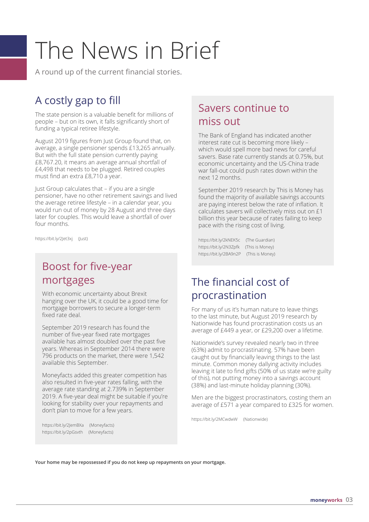# The News in Brief

A round up of the current financial stories.

# A costly gap to fill

The state pension is a valuable benefit for millions of people – but on its own, it falls significantly short of funding a typical retiree lifestyle.

August 2019 figures from Just Group found that, on average, a single pensioner spends £13,265 annually. But with the full state pension currently paying £8,767.20, it means an average annual shortfall of £4,498 that needs to be plugged. Retired couples must find an extra £8,710 a year.

Just Group calculates that – if you are a single pensioner, have no other retirement savings and lived the average retiree lifestyle – in a calendar year, you would run out of money by 28 August and three days later for couples. This would leave a shortfall of over four months.

https://bit.ly/2Jet3xj (Just)

## Boost for five-year mortgages

With economic uncertainty about Brexit hanging over the UK, it could be a good time for mortgage borrowers to secure a longer-term fixed rate deal.

September 2019 research has found the number of five-year fixed rate mortgages available has almost doubled over the past five years. Whereas in September 2014 there were 796 products on the market, there were 1,542 available this September.

Moneyfacts added this greater competition has also resulted in five-year rates falling, with the average rate standing at 2.739% in September 2019. A five-year deal might be suitable if you're looking for stability over your repayments and don't plan to move for a few years.

https://bit.ly/2JemBXa (Moneyfacts) https://bit.ly/2pGsvth (Moneyfacts)

### Savers continue to miss out

The Bank of England has indicated another interest rate cut is becoming more likely – which would spell more bad news for careful savers. Base rate currently stands at 0.75%, but economic uncertainty and the US-China trade war fall-out could push rates down within the next 12 months.

September 2019 research by This is Money has found the majority of available savings accounts are paying interest below the rate of inflation. It calculates savers will collectively miss out on £1 billion this year because of rates failing to keep pace with the rising cost of living.

https://bit.ly/2kNEK5c (The Guardian) https://bit.ly/2N3Zpfk (This is Money) https://bit.ly/2BA9n2P (This is Money)

## The financial cost of procrastination

For many of us it's human nature to leave things to the last minute, but August 2019 research by Nationwide has found procrastination costs us an average of £449 a year, or £29,200 over a lifetime.

Nationwide's survey revealed nearly two in three (63%) admit to procrastinating. 57% have been caught out by financially leaving things to the last minute. Common money dallying activity includes leaving it late to find gifts (50% of us state we're guilty of this), not putting money into a savings account (38%) and last-minute holiday planning (30%).

Men are the biggest procrastinators, costing them an average of £571 a year compared to £325 for women.

https://bit.ly/2MCwdwW (Nationwide)

**Your home may be repossessed if you do not keep up repayments on your mortgage.**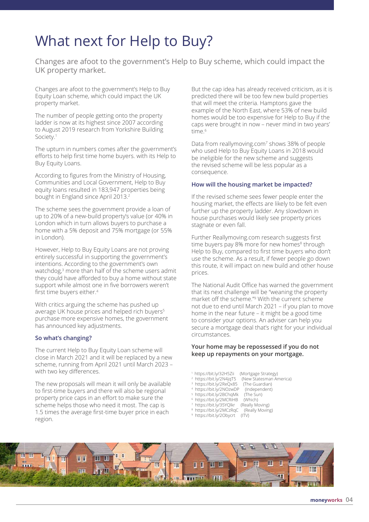# What next for Help to Buy?

Changes are afoot to the government's Help to Buy scheme, which could impact the UK property market.

Changes are afoot to the government's Help to Buy Equity Loan scheme, which could impact the UK property market.

The number of people getting onto the property ladder is now at its highest since 2007 according to August 2019 research from Yorkshire Building Society.<sup>1</sup>

The upturn in numbers comes after the government's efforts to help first time home buyers. with its Help to Buy Equity Loans.

According to figures from the Ministry of Housing, Communities and Local Government, Help to Buy equity loans resulted in 183,947 properties being bought in England since April 2013.<sup>2</sup>

The scheme sees the government provide a loan of up to 20% of a new-build property's value (or 40% in London which in turn allows buyers to purchase a home with a 5% deposit and 75% mortgage (or 55% in London).

However, Help to Buy Equity Loans are not proving entirely successful in supporting the government's intentions. According to the government's own watchdog,<sup>3</sup> more than half of the scheme users admit they could have afforded to buy a home without state support while almost one in five borrowers weren't first time buyers either.4

With critics arguing the scheme has pushed up average UK house prices and helped rich buyers<sup>5</sup> purchase more expensive homes, the government has announced key adjustments.

#### **So what's changing?**

The current Help to Buy Equity Loan scheme will close in March 2021 and it will be replaced by a new scheme, running from April 2021 until March 2023 – with two key differences.

The new proposals will mean it will only be available to first-time buyers and there will also be regional property price caps in an effort to make sure the scheme helps those who need it most. The cap is 1.5 times the average first-time buyer price in each region.

But the cap idea has already received criticism, as it is predicted there will be too few new build properties that will meet the criteria. Hamptons gave the example of the North East, where 53% of new build homes would be too expensive for Help to Buy if the caps were brought in now – never mind in two years' time.<sup>6</sup>

Data from reallymoving.com<sup>7</sup> shows 38% of people who used Help to Buy Equity Loans in 2018 would be ineligible for the new scheme and suggests the revised scheme will be less popular as a consequence.

#### **How will the housing market be impacted?**

If the revised scheme sees fewer people enter the housing market, the effects are likely to be felt even further up the property ladder. Any slowdown in house purchases would likely see property prices stagnate or even fall.

Further Reallymoving.com research suggests first time buyers pay 8% more for new homes<sup>8</sup> through Help to Buy, compared to first time buyers who don't use the scheme. As a result, if fewer people go down this route, it will impact on new build and other house prices.

The National Audit Office has warned the government that its next challenge will be "weaning the property market off the scheme."<sup>9</sup> With the current scheme not due to end until March 2021 – if you plan to move home in the near future – it might be a good time to consider your options. An adviser can help you secure a mortgage deal that's right for your individual circumstances.

#### **Your home may be repossessed if you do not keep up repayments on your mortgage.**

- 1 https://bit.ly/32H5Zii (Mortgage Strategy)
- <sup>2</sup> https://bit.ly/2N4jqT5 (New Statesman America)<br>(The Guardian)
- 3 https://bit.ly/2ReQx85 (The Guardian)
- 4 https://bit.ly/2NOzwDP (Independent) 5 https://bit.ly/2BChqMk (The Sun)
- 6 https://bit.ly/2MCRiHB (Which)
- 7 https://bit.ly/35YQlkr (Really Moving)
- 8 https://bit.ly/2MCzRqC (Really Moving)
- 9 https://bit.ly/2Obycrt (ITV)

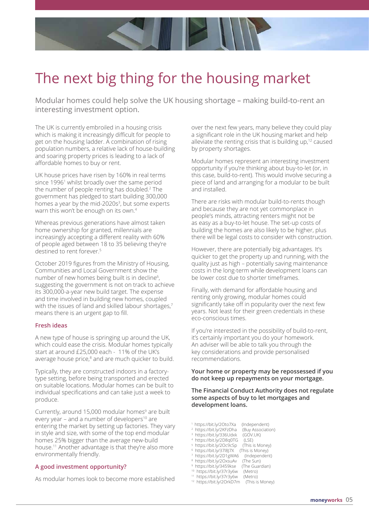

# The next big thing for the housing market

Modular homes could help solve the UK housing shortage – making build-to-rent an interesting investment option.

The UK is currently embroiled in a housing crisis which is making it increasingly difficult for people to get on the housing ladder. A combination of rising population numbers, a relative lack of house-building and soaring property prices is leading to a lack of affordable homes to buy or rent.

UK house prices have risen by 160% in real terms since 1996<sup>1</sup> whilst broadly over the same period the number of people renting has doubled.<sup>2</sup> The government has pledged to start building 300,000 homes a year by the mid-2020s<sup>3</sup>, but some experts warn this won't be enough on its own.4

Whereas previous generations have almost taken home ownership for granted, millennials are increasingly accepting a different reality with 60% of people aged between 18 to 35 believing they're destined to rent forever.<sup>5</sup>

October 2019 figures from the Ministry of Housing, Communities and Local Government show the number of new homes being built is in decline<sup>6</sup>, suggesting the government is not on track to achieve its 300,000-a-year new build target. The expense and time involved in building new homes, coupled with the issues of land and skilled labour shortages,<sup>7</sup> means there is an urgent gap to fill.

#### **Fresh ideas**

A new type of house is springing up around the UK, which could ease the crisis. Modular homes typically start at around £25,000 each - 11% of the UK's average house price,<sup>8</sup> and are much quicker to build.

Typically, they are constructed indoors in a factorytype setting, before being transported and erected on suitable locations. Modular homes can be built to individual specifications and can take just a week to produce.

Currently, around 15,000 modular homes<sup>9</sup> are built every year – and a number of developers<sup>10</sup> are entering the market by setting up factories. They vary in style and size, with some of the top end modular homes 25% bigger than the average new-build house.11 Another advantage is that they're also more environmentally friendly.

#### **A good investment opportunity?**

As modular homes look to become more established

over the next few years, many believe they could play a significant role in the UK housing market and help alleviate the renting crisis that is building up,<sup>12</sup> caused by property shortages.

Modular homes represent an interesting investment opportunity if you're thinking about buy-to-let (or, in this case, build-to-rent). This would involve securing a piece of land and arranging for a modular to be built and installed.

There are risks with modular build-to-rents though and because they are not yet commonplace in people's minds, attracting renters might not be as easy as a buy-to-let house. The set-up costs of building the homes are also likely to be higher, plus there will be legal costs to consider with construction.

However, there are potentially big advantages. It's quicker to get the property up and running, with the quality just as high – potentially saving maintenance costs in the long-term while development loans can be lower cost due to shorter timeframes.

Finally, with demand for affordable housing and renting only growing, modular homes could significantly take off in popularity over the next few years. Not least for their green credentials in these eco-conscious times.

If you're interested in the possibility of build-to-rent, it's certainly important you do your homework. An adviser will be able to talk you through the key considerations and provide personalised recommendations.

#### **Your home or property may be repossessed if you do not keep up repayments on your mortgage.**

#### **The Financial Conduct Authority does not regulate some aspects of buy to let mortgages and development loans.**

- 1 https://bit.ly/2Oto7Xa (Independent)
- 2 https://bit.ly/2KFzDha (Buy Association)
- 3 https://bit.ly/336Udxk (GOV.UK)
- 4 https://bit.ly/2D8q0TG (LSE)
- 5 https://bit.ly/2Oc9cSp (This is Money)
- 6 https://bit.ly/37l8J7X (This is Money)
- 7 https://bit.ly/2D1gWA6 (Independent)
- 8 https://bit.ly/2OxsuAv (The Sun) 9 https://bit.ly/3459kse (The Guardian)
- 
- <sup>10</sup> https://bit.ly/37r3y6w (Metro)<br><sup>11</sup> https://bit.ly/37r3y6w (Metro) <sup>11</sup> https://bit.ly/37r3y6w

<sup>12</sup> https://bit.ly/2OrkD7m (This is Money)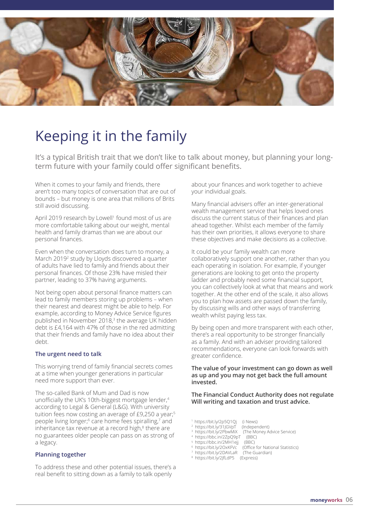

# Keeping it in the family

It's a typical British trait that we don't like to talk about money, but planning your longterm future with your family could offer significant benefits.

When it comes to your family and friends, there aren't too many topics of conversation that are out of bounds – but money is one area that millions of Brits still avoid discussing.

April 2019 research by Lowell<sup>1</sup> found most of us are more comfortable talking about our weight, mental health and family dramas than we are about our personal finances.

Even when the conversation does turn to money, a March 2019<sup>2</sup> study by Lloyds discovered a quarter of adults have lied to family and friends about their personal finances. Of those 23% have misled their partner, leading to 37% having arguments.

Not being open about personal finance matters can lead to family members storing up problems – when their nearest and dearest might be able to help. For example, according to Money Advice Service figures published in November 2018,3 the average UK hidden debt is £4,164 with 47% of those in the red admitting that their friends and family have no idea about their debt.

#### **The urgent need to talk**

This worrying trend of family financial secrets comes at a time when younger generations in particular need more support than ever.

The so-called Bank of Mum and Dad is now unofficially the UK's 10th-biggest mortgage lender,4 according to Legal & General (L&G). With university tuition fees now costing an average of £9,250 a year;<sup>5</sup> people living longer;<sup>6</sup> care home fees spiralling,<sup>7</sup> and inheritance tax revenue at a record high,<sup>8</sup> there are no guarantees older people can pass on as strong of a legacy.

#### **Planning together**

To address these and other potential issues, there's a real benefit to sitting down as a family to talk openly

about your finances and work together to achieve your individual goals.

Many financial advisers offer an inter-generational wealth management service that helps loved ones discuss the current status of their finances and plan ahead together. Whilst each member of the family has their own priorities, it allows everyone to share these objectives and make decisions as a collective.

It could be your family wealth can more collaboratively support one another, rather than you each operating in isolation. For example, if younger generations are looking to get onto the property ladder and probably need some financial support, you can collectively look at what that means and work together. At the other end of the scale, it also allows you to plan how assets are passed down the family, by discussing wills and other ways of transferring wealth whilst paying less tax.

By being open and more transparent with each other, there's a real opportunity to be stronger financially as a family. And with an adviser providing tailored recommendations, everyone can look forwards with greater confidence.

#### **The value of your investment can go down as well as up and you may not get back the full amount invested.**

#### **The Financial Conduct Authority does not regulate Will writing and taxation and trust advice.**

- 1 https://bit.ly/2p5Q1Qj (i News)
- 2 https://bit.ly/31JGVpT (Independent)
- https://bit.ly/2PbwMiX (The Money Advice Service)<br>https://bbc.in/2Zp09pT (BBC)
- 4 https://bbc.in/2ZpQ9pT

3

- 
- 5 https://bbc.in/2MH1ejj (BBC) 6 https://bit.ly/2OxKFVc (Office for National Statistics)
- 7 https://bit.ly/2DAVLaR (The Guardian)
- 8 https://bit.ly/2JfLdP5 (Express)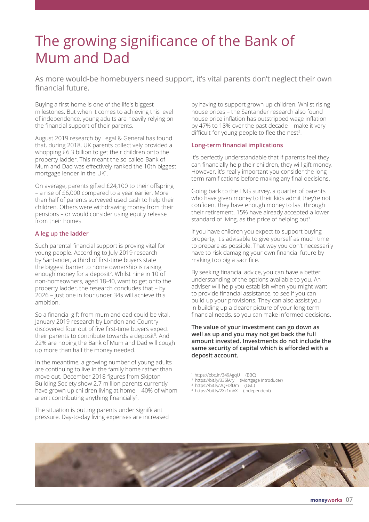# The growing significance of the Bank of Mum and Dad

As more would-be homebuyers need support, it's vital parents don't neglect their own financial future.

Buying a first home is one of the life's biggest milestones. But when it comes to achieving this level of independence, young adults are heavily relying on the financial support of their parents.

August 2019 research by Legal & General has found that, during 2018, UK parents collectively provided a whopping £6.3 billion to get their children onto the property ladder. This meant the so-called Bank of Mum and Dad was effectively ranked the 10th biggest mortgage lender in the UK<sup>1</sup>.

On average, parents gifted £24,100 to their offspring – a rise of £6,000 compared to a year earlier. More than half of parents surveyed used cash to help their children. Others were withdrawing money from their pensions – or would consider using equity release from their homes.

#### **A leg up the ladder**

Such parental financial support is proving vital for young people. According to July 2019 research by Santander, a third of first-time buyers state the biggest barrier to home ownership is raising enough money for a deposit<sup>2</sup>. Whilst nine in 10 of non-homeowners, aged 18-40, want to get onto the property ladder, the research concludes that – by 2026 – just one in four under 34s will achieve this ambition.

So a financial gift from mum and dad could be vital. January 2019 research by London and Country discovered four out of five first-time buyers expect their parents to contribute towards a deposit<sup>3</sup>. And 22% are hoping the Bank of Mum and Dad will cough up more than half the money needed.

In the meantime, a growing number of young adults are continuing to live in the family home rather than move out. December 2018 figures from Skipton Building Society show 2.7 million parents currently have grown up children living at home – 40% of whom aren't contributing anything financially<sup>4</sup>.

The situation is putting parents under significant pressure. Day-to-day living expenses are increased

by having to support grown up children. Whilst rising house prices – the Santander research also found house price inflation has outstripped wage inflation by 47% to 18% over the past decade – make it very difficult for young people to flee the nest<sup>2</sup>.

#### **Long-term financial implications**

It's perfectly understandable that if parents feel they can financially help their children, they will gift money. However, it's really important you consider the longterm ramifications before making any final decisions.

Going back to the L&G survey, a quarter of parents who have given money to their kids admit they're not confident they have enough money to last through their retirement. 15% have already accepted a lower standard of living, as the price of helping out<sup>1</sup>.

If you have children you expect to support buying property, it's advisable to give yourself as much time to prepare as possible. That way you don't necessarily have to risk damaging your own financial future by making too big a sacrifice.

By seeking financial advice, you can have a better understanding of the options available to you. An adviser will help you establish when you might want to provide financial assistance, to see if you can build up your provisions. They can also assist you in building up a clearer picture of your long-term financial needs, so you can make informed decisions.

**The value of your investment can go down as well as up and you may not get back the full amount invested. Investments do not include the same security of capital which is afforded with a deposit account.**

- 1 https://bbc.in/349AgqU (BBC)
- <sup>2</sup> https://bit.ly/335lAry (Mortgage Introducer)<br><sup>3</sup> https://bit.ly/2QFDfDm (L&C)
- 
- 4 https://bit.ly/2Xz1mVX (Independent)